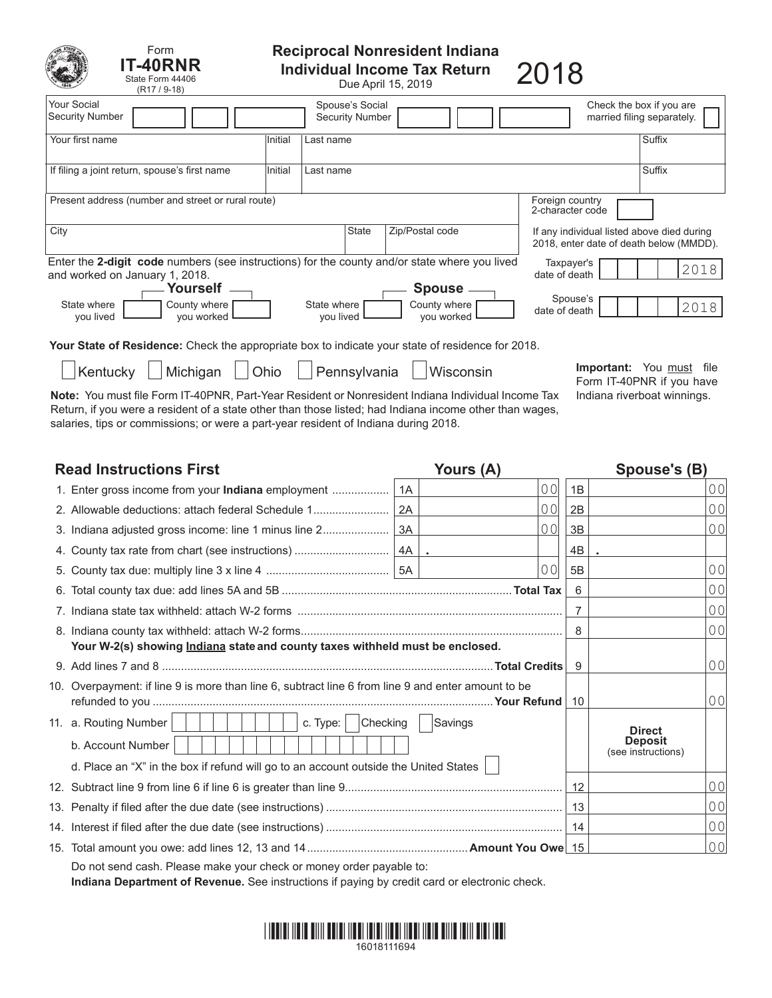| Form<br><b>T-40RNR</b><br>State Form 44406<br>$(R17 / 9-18)$                                                                                                                       |                                     |                          |                                           | Reciprocal Nonresident Indiana<br><b>Individual Income Tax Return</b><br>Due April 15, 2019 | 2018                                       |                                                        |
|------------------------------------------------------------------------------------------------------------------------------------------------------------------------------------|-------------------------------------|--------------------------|-------------------------------------------|---------------------------------------------------------------------------------------------|--------------------------------------------|--------------------------------------------------------|
| Your Social<br><b>Security Number</b>                                                                                                                                              |                                     |                          | Spouse's Social<br><b>Security Number</b> |                                                                                             |                                            | Check the box if you are<br>married filing separately. |
| Your first name                                                                                                                                                                    | Initial                             | Last name                |                                           |                                                                                             |                                            | Suffix                                                 |
| If filing a joint return, spouse's first name                                                                                                                                      | Initial                             | Last name                |                                           |                                                                                             |                                            | Suffix                                                 |
| Present address (number and street or rural route)                                                                                                                                 | Foreign country<br>2-character code |                          |                                           |                                                                                             |                                            |                                                        |
| City                                                                                                                                                                               |                                     |                          | <b>State</b>                              | Zip/Postal code                                                                             | If any individual listed above died during | 2018, enter date of death below (MMDD).                |
| Enter the 2-digit code numbers (see instructions) for the county and/or state where you lived<br>Taxpayer's<br>2018<br>date of death<br>and worked on January 1, 2018.<br>Yourself |                                     |                          |                                           |                                                                                             |                                            |                                                        |
| State where<br>County where<br>you lived<br>you worked                                                                                                                             |                                     | State where<br>you lived |                                           | <b>Spouse</b><br>County where<br>you worked                                                 | Spouse's<br>date of death                  | 2018                                                   |
| Your State of Residence: Check the appropriate box to indicate your state of residence for 2018.                                                                                   |                                     |                          |                                           |                                                                                             |                                            |                                                        |
| <b>Important:</b> You must<br>file<br>Michigan<br>Pennsylvania<br>Kentucky<br>Wisconsin<br>Ohio<br>Form IT-40PNR if you have                                                       |                                     |                          |                                           |                                                                                             |                                            |                                                        |

Note: You must file Form IT-40PNR, Part-Year Resident or Nonresident Indiana Individual Income Tax Indiana riverboat winnings. Return, if you were a resident of a state other than those listed; had Indiana income other than wages, salaries, tips or commissions; or were a part-year resident of Indiana during 2018.

Form IT-40PNR if you have

| <b>Read Instructions First</b>                                                                     |                      | Yours (A)      | Spouse's (B)   |                                                       |                |
|----------------------------------------------------------------------------------------------------|----------------------|----------------|----------------|-------------------------------------------------------|----------------|
| 1. Enter gross income from your <b>Indiana</b> employment                                          | 1A                   | 00             | 1B             |                                                       | 0 <sub>0</sub> |
| 2. Allowable deductions: attach federal Schedule 1                                                 | 2A                   | 0 <sub>0</sub> | 2B             |                                                       | 0 <sub>0</sub> |
|                                                                                                    |                      | 00             | 3B             |                                                       | 0 <sub>0</sub> |
|                                                                                                    | $\ddot{\phantom{a}}$ |                | 4B             |                                                       |                |
|                                                                                                    |                      | 00             | 5B             |                                                       | 0 <sub>0</sub> |
|                                                                                                    |                      |                | 6              |                                                       | 0 <sub>0</sub> |
|                                                                                                    |                      |                | 7              |                                                       | 0 <sub>0</sub> |
|                                                                                                    |                      |                | 8              |                                                       | 0 <sub>0</sub> |
| Your W-2(s) showing <i>Indiana</i> state and county taxes withheld must be enclosed.               |                      |                |                |                                                       |                |
|                                                                                                    |                      |                | 9              |                                                       | 0 <sup>0</sup> |
| 10. Overpayment: if line 9 is more than line 6, subtract line 6 from line 9 and enter amount to be |                      |                | 10             |                                                       | 0 <sup>0</sup> |
| 11. a. Routing Number<br>c. Type:                                                                  | Checking             | Savings        |                |                                                       |                |
| b. Account Number                                                                                  |                      |                |                | <b>Direct</b><br><b>Deposit</b><br>(see instructions) |                |
| d. Place an "X" in the box if refund will go to an account outside the United States               |                      |                |                |                                                       |                |
|                                                                                                    | 12                   |                | 0 <sub>0</sub> |                                                       |                |
|                                                                                                    | 13                   |                | 0 <sub>0</sub> |                                                       |                |
|                                                                                                    |                      |                | 14             |                                                       | 0 <sub>0</sub> |
|                                                                                                    |                      |                |                |                                                       | 0 <sub>0</sub> |
| Do not send cash. Please make your check or money order payable to:                                |                      |                |                |                                                       |                |

**Indiana Department of Revenue.** See instructions if paying by credit card or electronic check.

# \*16018111694\* 16018111694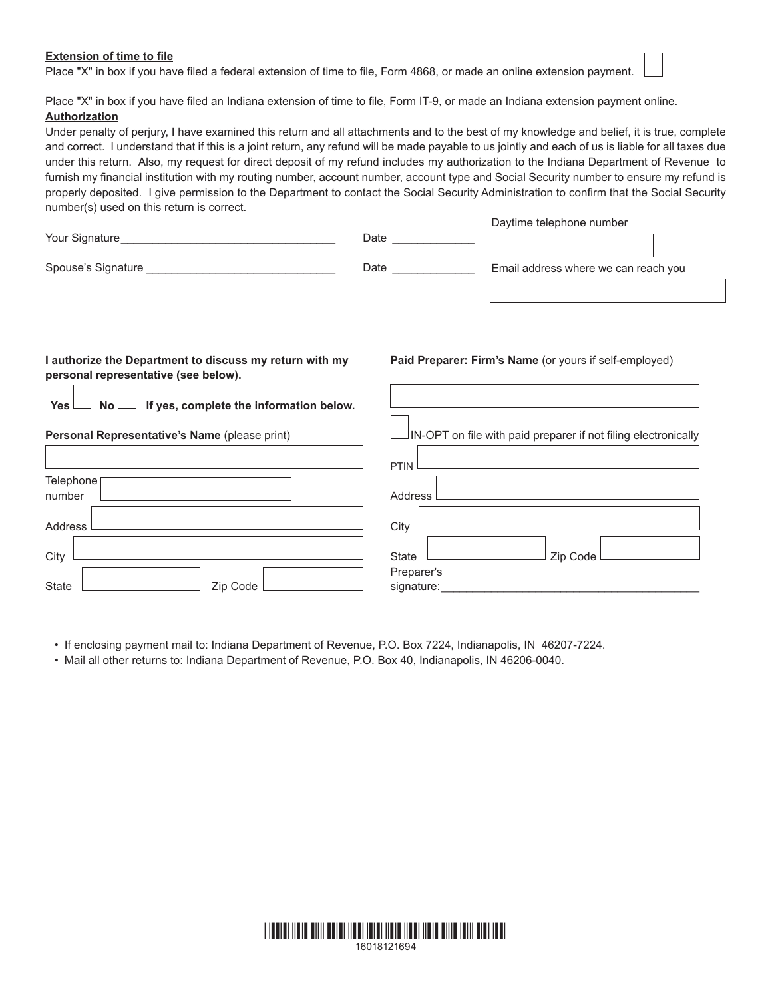## **Extension of time to file**

Place "X" in box if you have filed a federal extension of time to file, Form 4868, or made an online extension payment.

Place "X" in box if you have filed an Indiana extension of time to file, Form IT-9, or made an Indiana extension payment online. **Authorization**

Under penalty of perjury, I have examined this return and all attachments and to the best of my knowledge and belief, it is true, complete and correct. I understand that if this is a joint return, any refund will be made payable to us jointly and each of us is liable for all taxes due under this return. Also, my request for direct deposit of my refund includes my authorization to the Indiana Department of Revenue to furnish my financial institution with my routing number, account number, account type and Social Security number to ensure my refund is properly deposited. I give permission to the Department to contact the Social Security Administration to confirm that the Social Security number(s) used on this return is correct.

| Your Signature     | Date | Daytime telephone number             |
|--------------------|------|--------------------------------------|
| Spouse's Signature | Date | Email address where we can reach you |
|                    |      |                                      |

# **I authorize the Department to discuss my return with my personal representative (see below).**

**Yes No If yes, complete the information below.**

## **Personal Representative's Name** (please print)

|                     | PTIN <sup>1</sup>        |
|---------------------|--------------------------|
| Telephone<br>number | Address L                |
| Address             | City                     |
| City                | Zip Code<br>State        |
| Zip Code<br>State   | Preparer's<br>signature: |

• If enclosing payment mail to: Indiana Department of Revenue, P.O. Box 7224, Indianapolis, IN 46207-7224.

• Mail all other returns to: Indiana Department of Revenue, P.O. Box 40, Indianapolis, IN 46206-0040.



## **Paid Preparer: Firm's Name** (or yours if self-employed)

 $\vert$ IN-OPT on file with paid preparer if not filing electronically

Daytime telephone number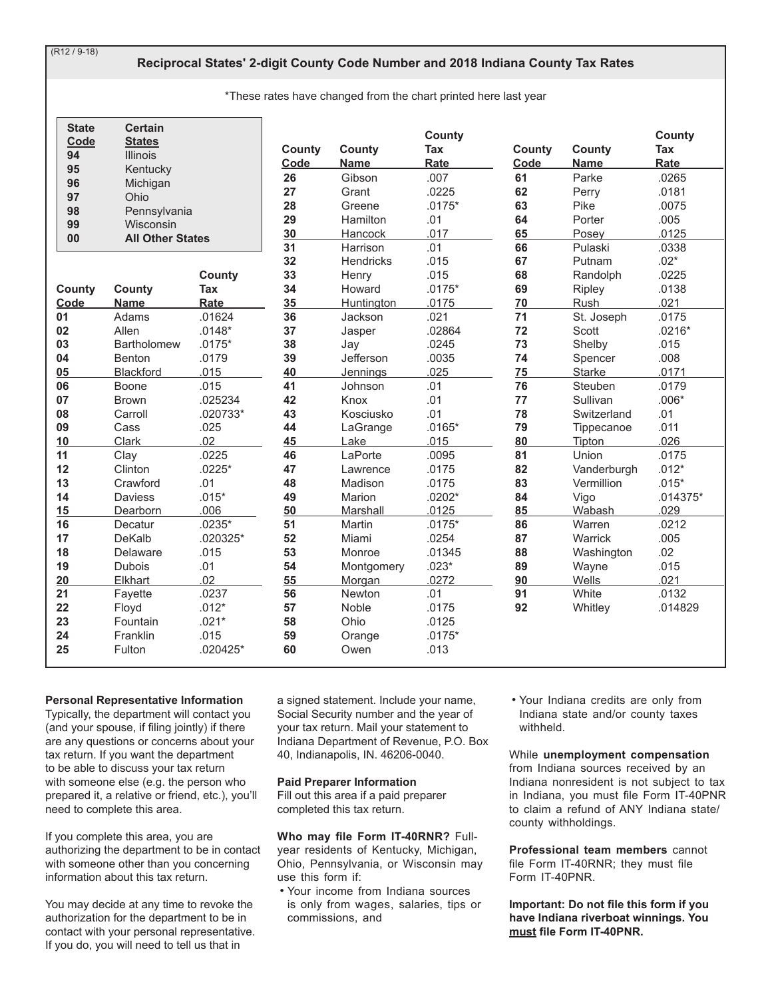$(R12 / 9-18)$ 

# Reciprocal States' 2-digit County Code Number and 2018 Indiana County Tax Rates

\*These rates have changed from the chart printed here last year

| <b>State</b><br>Code | <b>Certain</b><br><b>States</b> |                 | County   | <b>County</b>        | County<br>Tax     | County   | County           | County<br>Tax      |
|----------------------|---------------------------------|-----------------|----------|----------------------|-------------------|----------|------------------|--------------------|
| 94                   | <b>Illinois</b>                 |                 | Code     | <b>Name</b>          | Rate              | Code     | <b>Name</b>      | Rate               |
| 95<br>96             | Kentucky<br>Michigan            |                 | 26       | Gibson               | .007              | 61       | Parke            | .0265              |
| 97                   | Ohio                            |                 | 27       | Grant                | .0225             | 62       | Perry            | .0181              |
| 98                   | Pennsylvania                    |                 | 28       | Greene               | $.0175*$          | 63       | Pike             | .0075              |
| 99                   | Wisconsin                       |                 | 29       | Hamilton             | .01               | 64       | Porter           | .005               |
| 00                   | <b>All Other States</b>         |                 | 30       | Hancock              | .017              | 65       | Posey            | .0125              |
|                      |                                 |                 | 31       | Harrison             | .01               | 66       | Pulaski          | .0338              |
|                      |                                 |                 | 32       | <b>Hendricks</b>     | .015              | 67       | Putnam           | $.02*$             |
|                      |                                 | <b>County</b>   | 33       | Henry                | .015              | 68       | Randolph         | .0225              |
| County               | <b>County</b>                   | Tax             | 34       | Howard               | $.0175*$          | 69       | Ripley           | .0138              |
| Code                 | <b>Name</b>                     | Rate            | 35       | <b>Huntington</b>    | .0175             | 70       | Rush             | .021               |
| 01                   | Adams                           | .01624          | 36       | Jackson              | .021              | 71       | St. Joseph       | .0175              |
| 02                   | Allen                           | $.0148*$        | 37       | Jasper               | .02864            | 72       | Scott            | $.0216*$           |
| 03                   | <b>Bartholomew</b>              | $.0175*$        | 38       | Jay                  | .0245             | 73       | Shelby           | .015               |
| 04                   | Benton                          | .0179           | 39       | Jefferson            | .0035             | 74       | Spencer          | .008               |
| 05                   | <b>Blackford</b>                | .015            | 40       | Jennings             | .025              | 75       | Starke           | .0171              |
| 06                   | Boone                           | .015            | 41       | Johnson              | .01               | 76       | Steuben          | .0179              |
| 07                   | <b>Brown</b>                    | .025234         | 42       | Knox                 | .01               | 77       | Sullivan         | $.006*$            |
| 08                   | Carroll                         | .020733*        | 43       | Kosciusko            | .01               | 78       | Switzerland      | .01                |
| 09                   | Cass                            | .025            | 44       | LaGrange             | $.0165*$          | 79       | Tippecanoe       | .011               |
| 10                   | Clark                           | .02             | 45       | Lake                 | .015              | 80       | Tipton           | .026               |
| 11                   | Clay                            | .0225           | 46       | LaPorte              | .0095             | 81       | Union            | .0175              |
| 12                   | Clinton                         | $.0225*$        | 47       | Lawrence             | .0175             | 82       | Vanderburgh      | $.012*$            |
| 13                   | Crawford                        | .01             | 48       | Madison              | .0175             | 83       | Vermillion       | $.015*$            |
| 14                   | <b>Daviess</b>                  | $.015*$<br>.006 | 49       | Marion               | $.0202*$<br>.0125 | 84       | Vigo             | $.014375*$<br>.029 |
| 15<br>16             | Dearborn<br>Decatur             | $.0235*$        | 50<br>51 | Marshall<br>Martin   | $.0175*$          | 85<br>86 | Wabash<br>Warren | .0212              |
| 17                   | DeKalb                          | .020325*        | 52       | Miami                | .0254             | 87       | Warrick          | .005               |
| 18                   | Delaware                        | .015            | 53       | Monroe               | .01345            | 88       |                  | .02                |
| 19                   | <b>Dubois</b>                   | .01             | 54       |                      | $.023*$           | 89       | Washington       | .015               |
| 20                   | Elkhart                         | .02             | 55       | Montgomery<br>Morgan | .0272             | 90       | Wayne<br>Wells   | .021               |
| 21                   | Fayette                         | .0237           | 56       | Newton               | .01               | 91       | White            | .0132              |
| 22                   | Floyd                           | $.012*$         | 57       | Noble                | .0175             | 92       | Whitley          | .014829            |
| 23                   | Fountain                        | $.021*$         | 58       | Ohio                 | .0125             |          |                  |                    |
| 24                   | Franklin                        | .015            | 59       | Orange               | $.0175*$          |          |                  |                    |
| 25                   | Fulton                          | $.020425*$      | 60       | Owen                 | .013              |          |                  |                    |

## **Personal Representative Information**

Typically, the department will contact you (and your spouse, if filing jointly) if there are any questions or concerns about your tax return. If you want the department to be able to discuss your tax return with someone else (e.g. the person who prepared it, a relative or friend, etc.), you'll need to complete this area.

If you complete this area, you are authorizing the department to be in contact with someone other than you concerning information about this tax return.

You may decide at any time to revoke the authorization for the department to be in contact with your personal representative. If you do, you will need to tell us that in

a signed statement. Include your name, Social Security number and the year of your tax return. Mail your statement to Indiana Department of Revenue, P.O. Box 40, Indianapolis, IN. 46206-0040.

#### **Paid Preparer Information**

Fill out this area if a paid preparer completed this tax return.

## Who may file Form IT-40RNR? Full-

year residents of Kentucky, Michigan, Ohio, Pennsylvania, or Wisconsin may use this form if:

• Your income from Indiana sources is only from wages, salaries, tips or commissions, and

. Your Indiana credits are only from Indiana state and/or county taxes withheld.

While unemployment compensation from Indiana sources received by an Indiana nonresident is not subject to tax in Indiana, you must file Form IT-40PNR to claim a refund of ANY Indiana state/ county withholdings.

Professional team members cannot file Form IT-40RNR; they must file Form IT-40PNR.

Important: Do not file this form if you have Indiana riverboat winnings. You must file Form IT-40PNR.